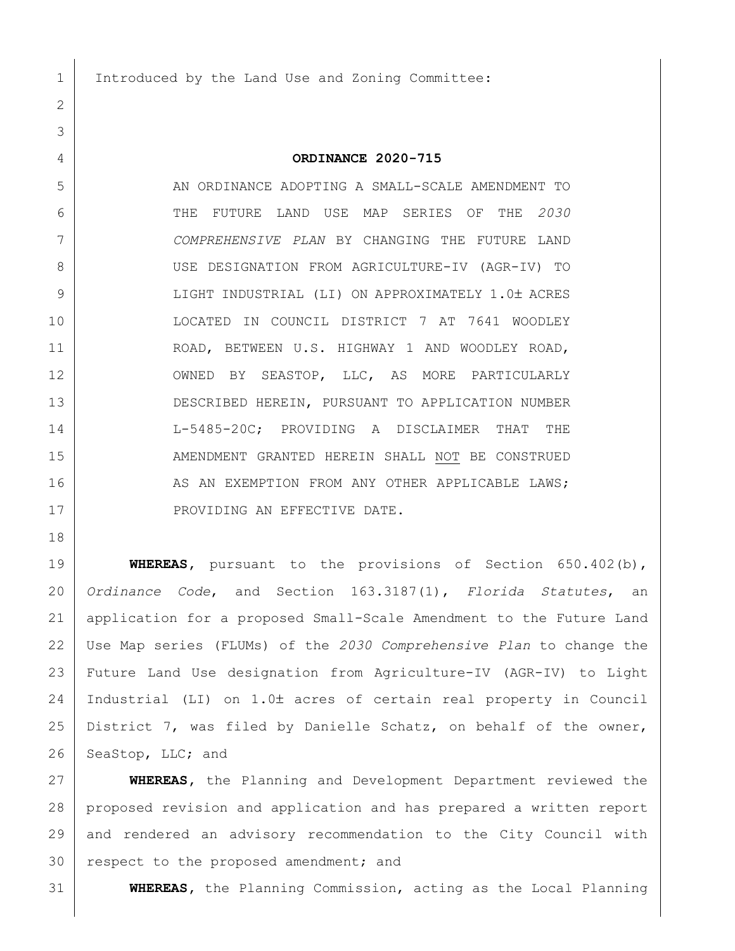1 | Introduced by the Land Use and Zoning Committee:

## **ORDINANCE 2020-715**

 AN ORDINANCE ADOPTING A SMALL-SCALE AMENDMENT TO THE FUTURE LAND USE MAP SERIES OF THE *2030 COMPREHENSIVE PLAN* BY CHANGING THE FUTURE LAND USE DESIGNATION FROM AGRICULTURE-IV (AGR-IV) TO 9 LIGHT INDUSTRIAL (LI) ON APPROXIMATELY 1.0± ACRES LOCATED IN COUNCIL DISTRICT 7 AT 7641 WOODLEY 11 ROAD, BETWEEN U.S. HIGHWAY 1 AND WOODLEY ROAD, 12 OWNED BY SEASTOP, LLC, AS MORE PARTICULARLY DESCRIBED HEREIN, PURSUANT TO APPLICATION NUMBER L-5485-20C; PROVIDING A DISCLAIMER THAT THE 15 | AMENDMENT GRANTED HEREIN SHALL NOT BE CONSTRUED 16 AS AN EXEMPTION FROM ANY OTHER APPLICABLE LAWS; 17 | PROVIDING AN EFFECTIVE DATE.

 **WHEREAS,** pursuant to the provisions of Section 650.402(b), *Ordinance Code*, and Section 163.3187(1), *Florida Statutes*, an application for a proposed Small-Scale Amendment to the Future Land Use Map series (FLUMs) of the *2030 Comprehensive Plan* to change the Future Land Use designation from Agriculture-IV (AGR-IV) to Light Industrial (LI) on 1.0 $\pm$  acres of certain real property in Council District 7, was filed by Danielle Schatz, on behalf of the owner, 26 SeaStop, LLC; and

 **WHEREAS,** the Planning and Development Department reviewed the proposed revision and application and has prepared a written report and rendered an advisory recommendation to the City Council with 30 respect to the proposed amendment; and

**WHEREAS,** the Planning Commission, acting as the Local Planning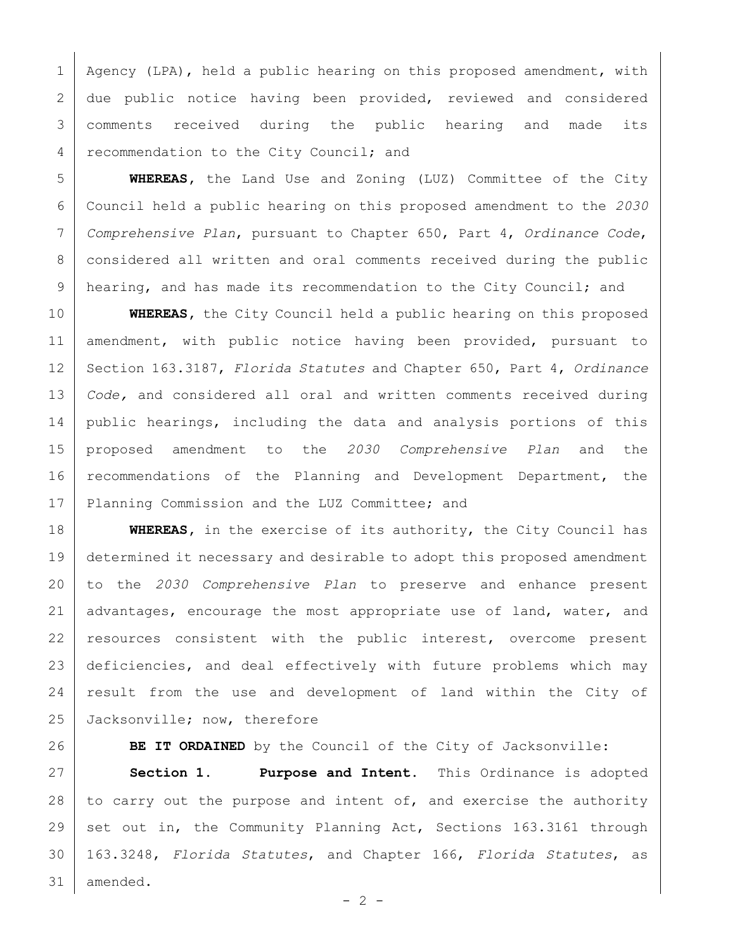1 | Agency (LPA), held a public hearing on this proposed amendment, with due public notice having been provided, reviewed and considered comments received during the public hearing and made its 4 recommendation to the City Council; and

 **WHEREAS,** the Land Use and Zoning (LUZ) Committee of the City Council held a public hearing on this proposed amendment to the *2030 Comprehensive Plan*, pursuant to Chapter 650, Part 4, *Ordinance Code*, considered all written and oral comments received during the public 9 | hearing, and has made its recommendation to the City Council; and

 **WHEREAS,** the City Council held a public hearing on this proposed amendment, with public notice having been provided, pursuant to Section 163.3187, *Florida Statutes* and Chapter 650, Part 4, *Ordinance Code,* and considered all oral and written comments received during 14 | public hearings, including the data and analysis portions of this proposed amendment to the *2030 Comprehensive Plan* and the 16 recommendations of the Planning and Development Department, the 17 Planning Commission and the LUZ Committee; and

**WHEREAS**, in the exercise of its authority, the City Council has determined it necessary and desirable to adopt this proposed amendment to the *2030 Comprehensive Plan* to preserve and enhance present advantages, encourage the most appropriate use of land, water, and resources consistent with the public interest, overcome present deficiencies, and deal effectively with future problems which may 24 | result from the use and development of land within the City of 25 Jacksonville; now, therefore

**BE IT ORDAINED** by the Council of the City of Jacksonville:

 **Section 1. Purpose and Intent.** This Ordinance is adopted 28 to carry out the purpose and intent of, and exercise the authority set out in, the Community Planning Act, Sections 163.3161 through 163.3248, *Florida Statutes*, and Chapter 166, *Florida Statutes*, as amended.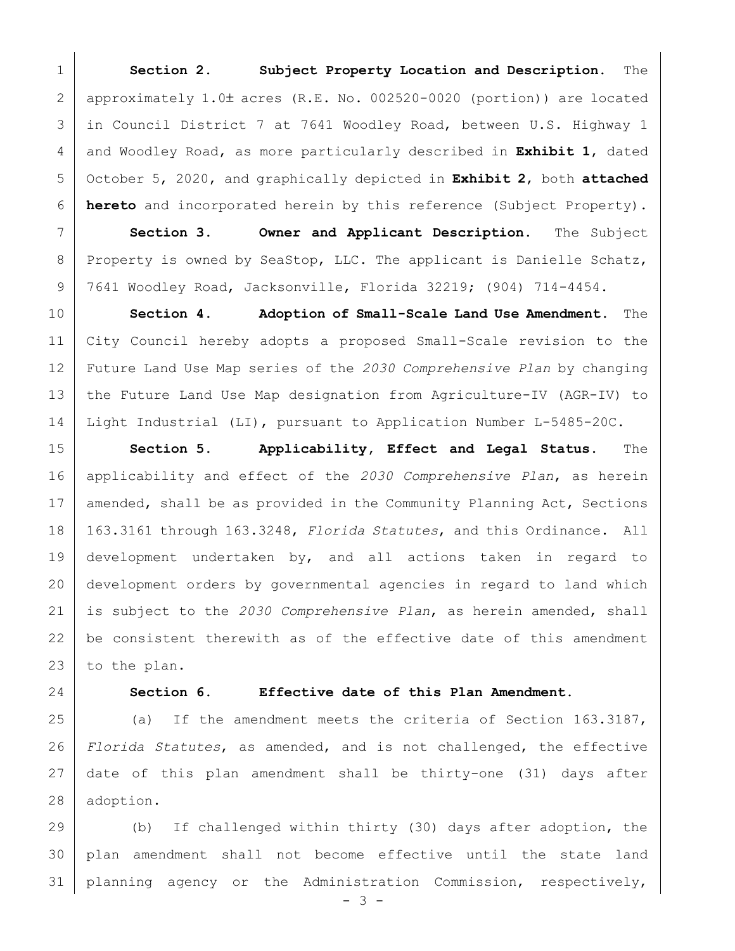**Section 2. Subject Property Location and Description.** The 2 approximately 1.0± acres (R.E. No. 002520-0020 (portion)) are located in Council District 7 at 7641 Woodley Road, between U.S. Highway 1 and Woodley Road, as more particularly described in **Exhibit 1**, dated October 5, 2020, and graphically depicted in **Exhibit 2**, both **attached hereto** and incorporated herein by this reference (Subject Property).

 **Section 3. Owner and Applicant Description.** The Subject 8 Property is owned by SeaStop, LLC. The applicant is Danielle Schatz, 7641 Woodley Road, Jacksonville, Florida 32219; (904) 714-4454.

 **Section 4. Adoption of Small-Scale Land Use Amendment.** The City Council hereby adopts a proposed Small-Scale revision to the Future Land Use Map series of the *2030 Comprehensive Plan* by changing the Future Land Use Map designation from Agriculture-IV (AGR-IV) to Light Industrial (LI), pursuant to Application Number L-5485-20C.

 **Section 5. Applicability, Effect and Legal Status.** The applicability and effect of the *2030 Comprehensive Plan*, as herein 17 amended, shall be as provided in the Community Planning Act, Sections 163.3161 through 163.3248, *Florida Statutes*, and this Ordinance. All development undertaken by, and all actions taken in regard to development orders by governmental agencies in regard to land which is subject to the *2030 Comprehensive Plan*, as herein amended, shall be consistent therewith as of the effective date of this amendment 23 to the plan.

## **Section 6. Effective date of this Plan Amendment.**

 (a) If the amendment meets the criteria of Section 163.3187, *Florida Statutes*, as amended, and is not challenged, the effective date of this plan amendment shall be thirty-one (31) days after adoption.

 (b) If challenged within thirty (30) days after adoption, the plan amendment shall not become effective until the state land 31 | planning agency or the Administration Commission, respectively,

- 3 -